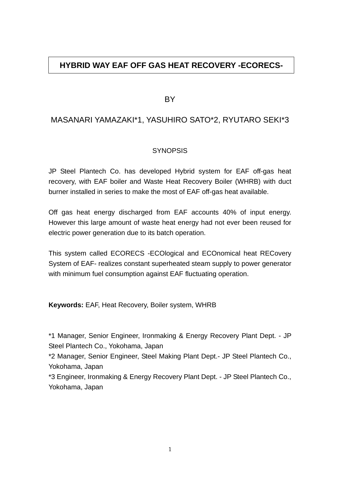# **HYBRID WAY EAF OFF GAS HEAT RECOVERY -ECORECS-**

BY

# MASANARI YAMAZAKI\*1, YASUHIRO SATO\*2, RYUTARO SEKI\*3

## **SYNOPSIS**

JP Steel Plantech Co. has developed Hybrid system for EAF off-gas heat recovery, with EAF boiler and Waste Heat Recovery Boiler (WHRB) with duct burner installed in series to make the most of EAF off-gas heat available.

Off gas heat energy discharged from EAF accounts 40% of input energy. However this large amount of waste heat energy had not ever been reused for electric power generation due to its batch operation.

This system called ECORECS -ECOlogical and ECOnomical heat RECovery System of EAF- realizes constant superheated steam supply to power generator with minimum fuel consumption against EAF fluctuating operation.

**Keywords:** EAF, Heat Recovery, Boiler system, WHRB

\*1 Manager, Senior Engineer, Ironmaking & Energy Recovery Plant Dept. - JP Steel Plantech Co., Yokohama, Japan

\*2 Manager, Senior Engineer, Steel Making Plant Dept.- JP Steel Plantech Co., Yokohama, Japan

\*3 Engineer, Ironmaking & Energy Recovery Plant Dept. - JP Steel Plantech Co., Yokohama, Japan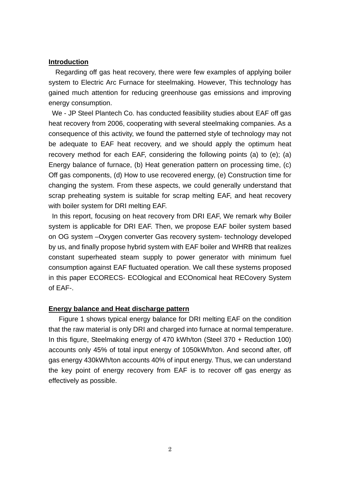### **Introduction**

Regarding off gas heat recovery, there were few examples of applying boiler system to Electric Arc Furnace for steelmaking. However, This technology has gained much attention for reducing greenhouse gas emissions and improving energy consumption.

 We - JP Steel Plantech Co. has conducted feasibility studies about EAF off gas heat recovery from 2006, cooperating with several steelmaking companies. As a consequence of this activity, we found the patterned style of technology may not be adequate to EAF heat recovery, and we should apply the optimum heat recovery method for each EAF, considering the following points (a) to (e); (a) Energy balance of furnace, (b) Heat generation pattern on processing time, (c) Off gas components, (d) How to use recovered energy, (e) Construction time for changing the system. From these aspects, we could generally understand that scrap preheating system is suitable for scrap melting EAF, and heat recovery with boiler system for DRI melting EAF.

In this report, focusing on heat recovery from DRI EAF, We remark why Boiler system is applicable for DRI EAF. Then, we propose EAF boiler system based on OG system –Oxygen converter Gas recovery system- technology developed by us, and finally propose hybrid system with EAF boiler and WHRB that realizes constant superheated steam supply to power generator with minimum fuel consumption against EAF fluctuated operation. We call these systems proposed in this paper ECORECS- ECOlogical and ECOnomical heat RECovery System of EAF-.

### **Energy balance and Heat discharge pattern**

Figure 1 shows typical energy balance for DRI melting EAF on the condition that the raw material is only DRI and charged into furnace at normal temperature. In this figure, Steelmaking energy of 470 kWh/ton (Steel 370 + Reduction 100) accounts only 45% of total input energy of 1050kWh/ton. And second after, off gas energy 430kWh/ton accounts 40% of input energy. Thus, we can understand the key point of energy recovery from EAF is to recover off gas energy as effectively as possible.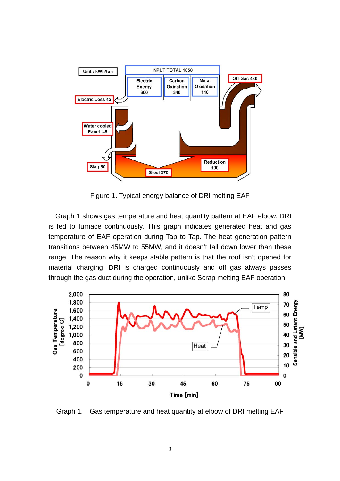

Figure 1. Typical energy balance of DRI melting EAF

Graph 1 shows gas temperature and heat quantity pattern at EAF elbow. DRI is fed to furnace continuously. This graph indicates generated heat and gas temperature of EAF operation during Tap to Tap. The heat generation pattern transitions between 45MW to 55MW, and it doesn't fall down lower than these range. The reason why it keeps stable pattern is that the roof isn't opened for material charging, DRI is charged continuously and off gas always passes through the gas duct during the operation, unlike Scrap melting EAF operation.



Graph 1. Gas temperature and heat quantity at elbow of DRI melting EAF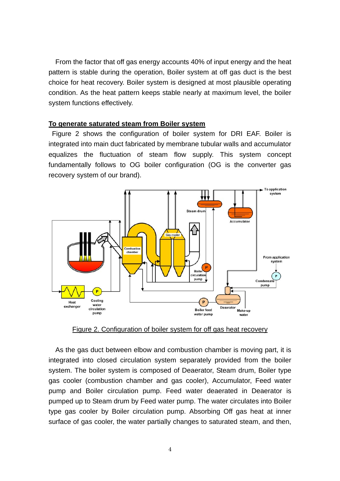From the factor that off gas energy accounts 40% of input energy and the heat pattern is stable during the operation, Boiler system at off gas duct is the best choice for heat recovery. Boiler system is designed at most plausible operating condition. As the heat pattern keeps stable nearly at maximum level, the boiler system functions effectively.

### **To generate saturated steam from Boiler system**

 Figure 2 shows the configuration of boiler system for DRI EAF. Boiler is integrated into main duct fabricated by membrane tubular walls and accumulator equalizes the fluctuation of steam flow supply. This system concept fundamentally follows to OG boiler configuration (OG is the converter gas recovery system of our brand).



Figure 2. Configuration of boiler system for off gas heat recovery

As the gas duct between elbow and combustion chamber is moving part, it is integrated into closed circulation system separately provided from the boiler system. The boiler system is composed of Deaerator, Steam drum, Boiler type gas cooler (combustion chamber and gas cooler), Accumulator, Feed water pump and Boiler circulation pump. Feed water deaerated in Deaerator is pumped up to Steam drum by Feed water pump. The water circulates into Boiler type gas cooler by Boiler circulation pump. Absorbing Off gas heat at inner surface of gas cooler, the water partially changes to saturated steam, and then,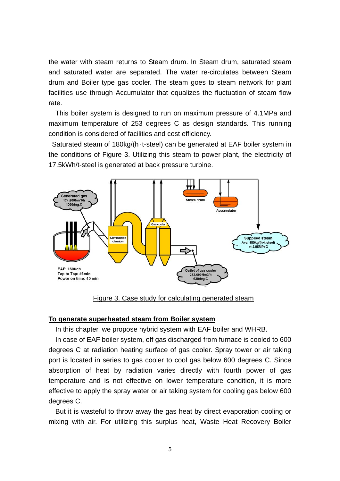the water with steam returns to Steam drum. In Steam drum, saturated steam and saturated water are separated. The water re-circulates between Steam drum and Boiler type gas cooler. The steam goes to steam network for plant facilities use through Accumulator that equalizes the fluctuation of steam flow rate.

This boiler system is designed to run on maximum pressure of 4.1MPa and maximum temperature of 253 degrees C as design standards. This running condition is considered of facilities and cost efficiency.

 Saturated steam of 180kg/(h∙t-steel) can be generated at EAF boiler system in the conditions of Figure 3. Utilizing this steam to power plant, the electricity of 17.5kWh/t-steel is generated at back pressure turbine.



Figure 3. Case study for calculating generated steam

#### **To generate superheated steam from Boiler system**

In this chapter, we propose hybrid system with EAF boiler and WHRB.

In case of EAF boiler system, off gas discharged from furnace is cooled to 600 degrees C at radiation heating surface of gas cooler. Spray tower or air taking port is located in series to gas cooler to cool gas below 600 degrees C. Since absorption of heat by radiation varies directly with fourth power of gas temperature and is not effective on lower temperature condition, it is more effective to apply the spray water or air taking system for cooling gas below 600 degrees C.

But it is wasteful to throw away the gas heat by direct evaporation cooling or mixing with air. For utilizing this surplus heat, Waste Heat Recovery Boiler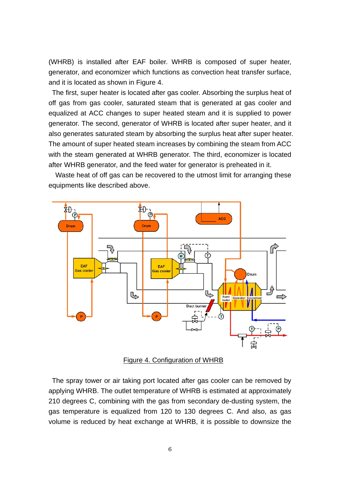(WHRB) is installed after EAF boiler. WHRB is composed of super heater, generator, and economizer which functions as convection heat transfer surface, and it is located as shown in Figure 4.

 The first, super heater is located after gas cooler. Absorbing the surplus heat of off gas from gas cooler, saturated steam that is generated at gas cooler and equalized at ACC changes to super heated steam and it is supplied to power generator. The second, generator of WHRB is located after super heater, and it also generates saturated steam by absorbing the surplus heat after super heater. The amount of super heated steam increases by combining the steam from ACC with the steam generated at WHRB generator. The third, economizer is located after WHRB generator, and the feed water for generator is preheated in it.

Waste heat of off gas can be recovered to the utmost limit for arranging these equipments like described above.



Figure 4. Configuration of WHRB

 The spray tower or air taking port located after gas cooler can be removed by applying WHRB. The outlet temperature of WHRB is estimated at approximately 210 degrees C, combining with the gas from secondary de-dusting system, the gas temperature is equalized from 120 to 130 degrees C. And also, as gas volume is reduced by heat exchange at WHRB, it is possible to downsize the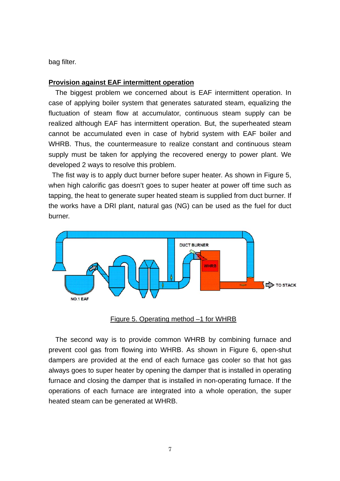bag filter.

### **Provision against EAF intermittent operation**

The biggest problem we concerned about is EAF intermittent operation. In case of applying boiler system that generates saturated steam, equalizing the fluctuation of steam flow at accumulator, continuous steam supply can be realized although EAF has intermittent operation. But, the superheated steam cannot be accumulated even in case of hybrid system with EAF boiler and WHRB. Thus, the countermeasure to realize constant and continuous steam supply must be taken for applying the recovered energy to power plant. We developed 2 ways to resolve this problem.

 The fist way is to apply duct burner before super heater. As shown in Figure 5, when high calorific gas doesn't goes to super heater at power off time such as tapping, the heat to generate super heated steam is supplied from duct burner. If the works have a DRI plant, natural gas (NG) can be used as the fuel for duct burner.



#### Figure 5. Operating method –1 for WHRB

The second way is to provide common WHRB by combining furnace and prevent cool gas from flowing into WHRB. As shown in Figure 6, open-shut dampers are provided at the end of each furnace gas cooler so that hot gas always goes to super heater by opening the damper that is installed in operating furnace and closing the damper that is installed in non-operating furnace. If the operations of each furnace are integrated into a whole operation, the super heated steam can be generated at WHRB.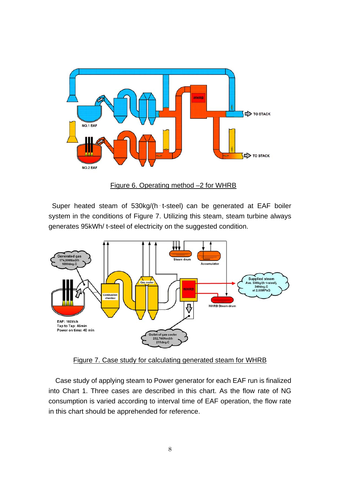



 Super heated steam of 530kg/(h⋅t-steel) can be generated at EAF boiler system in the conditions of Figure 7. Utilizing this steam, steam turbine always generates 95kWh/ t-steel of electricity on the suggested condition.



Figure 7. Case study for calculating generated steam for WHRB

Case study of applying steam to Power generator for each EAF run is finalized into Chart 1. Three cases are described in this chart. As the flow rate of NG consumption is varied according to interval time of EAF operation, the flow rate in this chart should be apprehended for reference.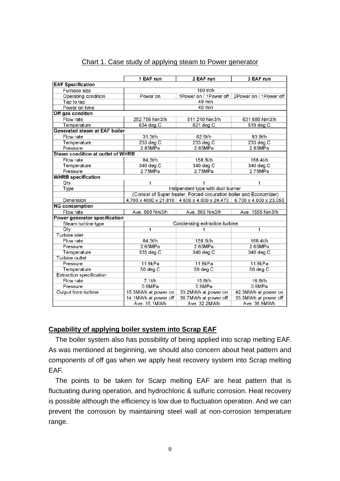#### Chart 1. Case study of applying steam to Power generator

|                                          | 1 EAF run                                                           | 2 EAF run                                                           | 3 EAF run              |
|------------------------------------------|---------------------------------------------------------------------|---------------------------------------------------------------------|------------------------|
| <b>EAF Specification</b>                 |                                                                     |                                                                     |                        |
| Furnace size                             |                                                                     | 160 t/ch                                                            |                        |
| Operating condition                      | Power on                                                            | 1Power on / 1Power off                                              | 2Power on / 1Power off |
| Tap to tap                               | 49 min                                                              |                                                                     |                        |
| Power on time                            | 40 min                                                              |                                                                     |                        |
| Off gas conditon                         |                                                                     |                                                                     |                        |
| Flow rate                                | 252.756 Nm3/h                                                       | 511.210 Nm3/h                                                       | 631,680 Nm3/h          |
| Temperature                              | 634 deg.C                                                           | 621 deg.C                                                           | 519 deg.C              |
| <b>Generated steam at EAF boiler</b>     |                                                                     |                                                                     |                        |
| Flow rate                                | 31.3t/h                                                             | 62.6t/h                                                             | 93.9t/h                |
| Temperature                              | 233 deg.C                                                           | $233$ deg. $C$                                                      | $233$ deg. $C$         |
| Pressure                                 | 2.85MPa                                                             | 2.85MPa                                                             | 2.85MPa                |
| <b>Steam condition at outlet of WHRB</b> |                                                                     |                                                                     |                        |
| Flow rate                                | 84.3t/h                                                             | 158.5t/h                                                            | 168.4t/h               |
| Temperature                              | 340 deg.C                                                           | 340 deg.C                                                           | 340 deg.C              |
| Pressure                                 | 2.75MPa                                                             | 2.75MPa                                                             | 2.75MPa                |
| <b>WHRB specification</b>                |                                                                     |                                                                     |                        |
| Qty.                                     | 1                                                                   | 1                                                                   | 1                      |
| Type                                     | Indipendent type with duct burner                                   |                                                                     |                        |
|                                          | (Consist of Super heater, Forced circuration boiler and Economizer) |                                                                     |                        |
| Dimension                                |                                                                     | 4,700 x 4000 x 21,810 4,600 x 4,000 x 24,470 6,700 x 4,000 x 23,050 |                        |
| <b>NG consumption</b>                    |                                                                     |                                                                     |                        |
| Flow rate                                | Ave. 868 Nm3/h                                                      | Ave. 865 Nm3/h                                                      | Ave. 1555 Nm3/h        |
| Power generator specification            |                                                                     |                                                                     |                        |
| Steam turbine type                       | Condensing extraction turbine                                       |                                                                     |                        |
| Qty.                                     | 1                                                                   | 1                                                                   | 1                      |
| Turbine inlet                            |                                                                     |                                                                     |                        |
| Flow rate                                | 84.3t/h                                                             | 158.5t/h                                                            | 168.4t/h               |
| Pressure                                 | 2.65MPa                                                             | 2.65MPa                                                             | 2.65MPa                |
| Temperature                              | 335 deg.C                                                           | 340 deg.C                                                           | 340 deg.C              |
| Turbine outlet                           |                                                                     |                                                                     |                        |
| Pressure                                 | 11.9kPa                                                             | 11.9kPa                                                             | 11.9kPa                |
| Temperature                              | 50 deg.C                                                            | 50 deg.C                                                            | 50 deg.C               |
| <b>Extraction specification</b>          |                                                                     |                                                                     |                        |
| Flow rate                                | 7.1t/h                                                              | 15.8t/h                                                             | 16.8t/h                |
| Pressure                                 | 0.9MPa                                                              | 0.9MPa                                                              | 0.9MPa                 |
| Output from turbine                      | 15.3MWh at power on                                                 | 33.2MWh at power on                                                 | 42.3MWh at power on    |
|                                          | 14.1MWh at power off                                                | 30.7MWh at power off                                                | 33.3MWh at power off   |
|                                          | Ave. 15.1MWh                                                        | Ave. 32.2MWh                                                        | Ave. 36.9MWh           |

## **Capability of applying boiler system into Scrap EAF**

The boiler system also has possibility of being applied into scrap melting EAF. As was mentioned at beginning, we should also concern about heat pattern and components of off gas when we apply heat recovery system into Scrap melting EAF.

The points to be taken for Scarp melting EAF are heat pattern that is fluctuating during operation, and hydrochloric & sulfuric corrosion. Heat recovery is possible although the efficiency is low due to fluctuation operation. And we can prevent the corrosion by maintaining steel wall at non-corrosion temperature range.